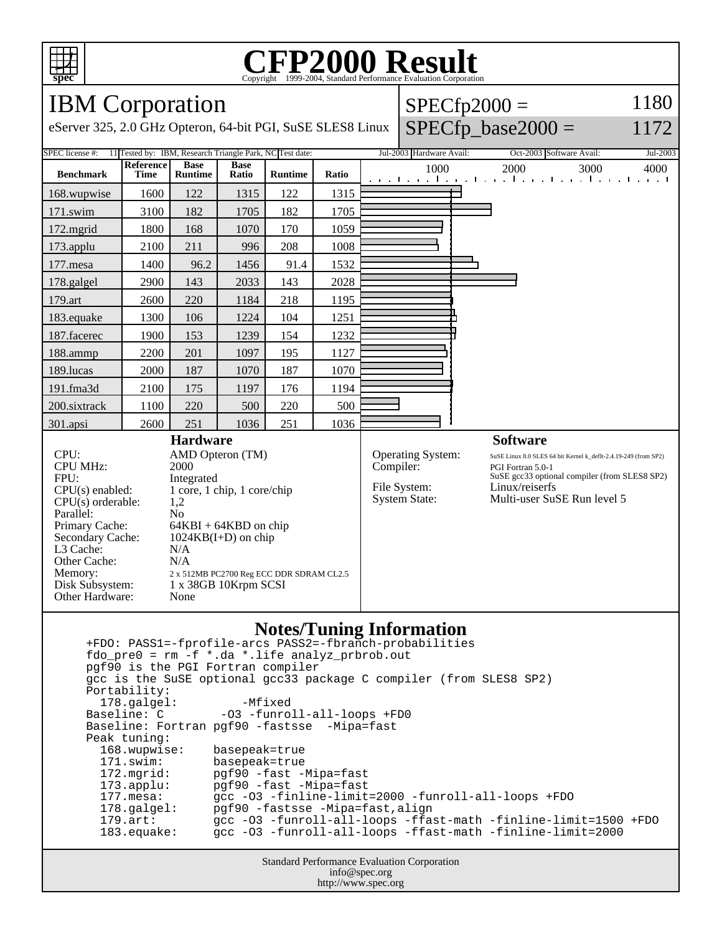

# C<sub>opyright</sub> ©1999-2004, Standard Performance Evaluation Corporation

### IBM Corporation

eServer 325, 2.0 GHz Opteron, 64-bit PGI, SuSE SLES8 Linux

### $SPECfp2000 =$  $SPECfp\_base2000 =$

#### 1172

1180

| <b>SPEC</b> license #:<br>11 Tested by: IBM, Research Triangle Park, NC Test date:                                                                                                                                                                                                                                                                                                                                                                                                                                                                                                                                                                                                                                                                                                                                                                                                |                   |                               |                      |                |                                                                        | Jul-2003 Hardware Avail:                                                                                                                                                               | Oct-2003 Software Avail:<br>Jul-2003                                      |
|-----------------------------------------------------------------------------------------------------------------------------------------------------------------------------------------------------------------------------------------------------------------------------------------------------------------------------------------------------------------------------------------------------------------------------------------------------------------------------------------------------------------------------------------------------------------------------------------------------------------------------------------------------------------------------------------------------------------------------------------------------------------------------------------------------------------------------------------------------------------------------------|-------------------|-------------------------------|----------------------|----------------|------------------------------------------------------------------------|----------------------------------------------------------------------------------------------------------------------------------------------------------------------------------------|---------------------------------------------------------------------------|
| <b>Benchmark</b>                                                                                                                                                                                                                                                                                                                                                                                                                                                                                                                                                                                                                                                                                                                                                                                                                                                                  | Reference<br>Time | <b>Base</b><br><b>Runtime</b> | <b>Base</b><br>Ratio | <b>Runtime</b> | Ratio                                                                  | 1000                                                                                                                                                                                   | 2000<br>3000<br>4000<br>and the media media media media media media media |
| 168.wupwise                                                                                                                                                                                                                                                                                                                                                                                                                                                                                                                                                                                                                                                                                                                                                                                                                                                                       | 1600              | 122                           | 1315                 | 122            | 1315                                                                   |                                                                                                                                                                                        |                                                                           |
| 171.swim                                                                                                                                                                                                                                                                                                                                                                                                                                                                                                                                                                                                                                                                                                                                                                                                                                                                          | 3100              | 182                           | 1705                 | 182            | 1705                                                                   |                                                                                                                                                                                        |                                                                           |
| 172.mgrid                                                                                                                                                                                                                                                                                                                                                                                                                                                                                                                                                                                                                                                                                                                                                                                                                                                                         | 1800              | 168                           | 1070                 | 170            | 1059                                                                   |                                                                                                                                                                                        |                                                                           |
| 173.applu                                                                                                                                                                                                                                                                                                                                                                                                                                                                                                                                                                                                                                                                                                                                                                                                                                                                         | 2100              | 211                           | 996                  | 208            | 1008                                                                   |                                                                                                                                                                                        |                                                                           |
| 177.mesa                                                                                                                                                                                                                                                                                                                                                                                                                                                                                                                                                                                                                                                                                                                                                                                                                                                                          | 1400              | 96.2                          | 1456                 | 91.4           | 1532                                                                   |                                                                                                                                                                                        |                                                                           |
| 178.galgel                                                                                                                                                                                                                                                                                                                                                                                                                                                                                                                                                                                                                                                                                                                                                                                                                                                                        | 2900              | 143                           | 2033                 | 143            | 2028                                                                   |                                                                                                                                                                                        |                                                                           |
| 179.art                                                                                                                                                                                                                                                                                                                                                                                                                                                                                                                                                                                                                                                                                                                                                                                                                                                                           | 2600              | 220                           | 1184                 | 218            | 1195                                                                   |                                                                                                                                                                                        |                                                                           |
| 183.equake                                                                                                                                                                                                                                                                                                                                                                                                                                                                                                                                                                                                                                                                                                                                                                                                                                                                        | 1300              | 106                           | 1224                 | 104            | 1251                                                                   |                                                                                                                                                                                        |                                                                           |
| 187.facerec                                                                                                                                                                                                                                                                                                                                                                                                                                                                                                                                                                                                                                                                                                                                                                                                                                                                       | 1900              | 153                           | 1239                 | 154            | 1232                                                                   |                                                                                                                                                                                        |                                                                           |
| 188.ammp                                                                                                                                                                                                                                                                                                                                                                                                                                                                                                                                                                                                                                                                                                                                                                                                                                                                          | 2200              | 201                           | 1097                 | 195            | 1127                                                                   |                                                                                                                                                                                        |                                                                           |
| 189.lucas                                                                                                                                                                                                                                                                                                                                                                                                                                                                                                                                                                                                                                                                                                                                                                                                                                                                         | 2000              | 187                           | 1070                 | 187            | 1070                                                                   |                                                                                                                                                                                        |                                                                           |
| 191.fma3d                                                                                                                                                                                                                                                                                                                                                                                                                                                                                                                                                                                                                                                                                                                                                                                                                                                                         | 2100              | 175                           | 1197                 | 176            | 1194                                                                   |                                                                                                                                                                                        |                                                                           |
| 200.sixtrack                                                                                                                                                                                                                                                                                                                                                                                                                                                                                                                                                                                                                                                                                                                                                                                                                                                                      | 1100              | 220                           | 500                  | 220            | 500                                                                    |                                                                                                                                                                                        |                                                                           |
| 301.apsi                                                                                                                                                                                                                                                                                                                                                                                                                                                                                                                                                                                                                                                                                                                                                                                                                                                                          | 2600              | 251                           | 1036                 | 251            | 1036                                                                   |                                                                                                                                                                                        |                                                                           |
| CPU:<br>AMD Opteron (TM)<br><b>CPU MHz:</b><br>2000<br>FPU:<br>Integrated<br>CPU(s) enabled:<br>1 core, 1 chip, 1 core/chip<br>$CPU(s)$ orderable:<br>1,2<br>Parallel:<br>N <sub>0</sub><br>Primary Cache:<br>$64KBI + 64KBD$ on chip<br>Secondary Cache:<br>$1024KB(I+D)$ on chip<br>L3 Cache:<br>N/A<br>N/A<br>Other Cache:<br>Memory:<br>2 x 512MB PC2700 Reg ECC DDR SDRAM CL2.5<br>Disk Subsystem:<br>1 x 38GB 10Krpm SCSI<br>Other Hardware:<br>None                                                                                                                                                                                                                                                                                                                                                                                                                        |                   |                               |                      |                | Operating System:<br>Compiler:<br>File System:<br><b>System State:</b> | SuSE Linux 8.0 SLES 64 bit Kernel k_deflt-2.4.19-249 (from SP2)<br>PGI Fortran 5.0-1<br>SuSE gcc33 optional compiler (from SLES8 SP2)<br>Linux/reiserfs<br>Multi-user SuSE Run level 5 |                                                                           |
| <b>Notes/Tuning Information</b><br>+FDO: PASS1=-fprofile-arcs PASS2=-fbranch-probabilities<br>fdo_pre0 = rm -f *.da *.life analyz_prbrob.out<br>pgf90 is the PGI Fortran compiler<br>gcc is the SuSE optional gcc33 package C compiler (from SLES8 SP2)<br>Portability:<br>$-Mfixed$<br>178.galgel:<br>-03 -funroll-all-loops +FD0<br>Baseline: C<br>Baseline: Fortran pgf90 -fastsse -Mipa=fast<br>Peak tuning:<br>168.wupwise:<br>basepeak=true<br>171.swim:<br>basepeak=true<br>172.mgrid:<br>pgf90 -fast -Mipa=fast<br>$173.\text{applu}:$<br>pgf90 -fast -Mipa=fast<br>gcc -03 -finline-limit=2000 -funroll-all-loops +FDO<br>$177.$ mesa:<br>178.galgel:<br>pgf90 -fastsse -Mipa=fast, align<br>gcc -03 -funroll-all-loops -ffast-math -finline-limit=1500 +FDO<br>$179.\text{art}$ :<br>gcc -03 -funroll-all-loops -ffast-math -finline-limit=2000<br>$183.\text{equake}:$ |                   |                               |                      |                |                                                                        |                                                                                                                                                                                        |                                                                           |

Standard Performance Evaluation Corporation info@spec.org http://www.spec.org